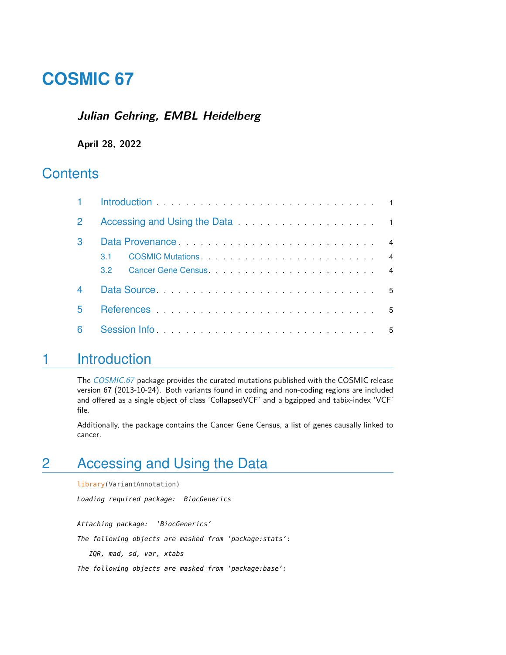# **COSMIC 67**

#### **Julian Gehring, EMBL Heidelberg**

#### **April 28, 2022**

# **Contents**

| $\overline{2}$           |                  |                                                                                                                                                                                                                                |  |  |  |  |  |
|--------------------------|------------------|--------------------------------------------------------------------------------------------------------------------------------------------------------------------------------------------------------------------------------|--|--|--|--|--|
| 3                        |                  |                                                                                                                                                                                                                                |  |  |  |  |  |
|                          | 31               |                                                                                                                                                                                                                                |  |  |  |  |  |
|                          | 32 <sup>-1</sup> | Cancer Gene Census et al., and a series and a series of the contract of the Cancer Cancer of America and America of America and America and America and America and America and America and America and America and America an |  |  |  |  |  |
| $\overline{\mathcal{A}}$ |                  |                                                                                                                                                                                                                                |  |  |  |  |  |
| 5                        |                  |                                                                                                                                                                                                                                |  |  |  |  |  |
| 6                        |                  | Session Information and the set of the set of the set of the set of the set of the set of the set of the set of the set of the set of the set of the set of the set of the set of the set of the set of the set of the set of  |  |  |  |  |  |

# <span id="page-0-0"></span>1 Introduction

The [COSMIC.67](http://bioconductor.org/packages/COSMIC.67) package provides the curated mutations published with the COSMIC release version 67 (2013-10-24). Both variants found in coding and non-coding regions are included and offered as a single object of class 'CollapsedVCF' and a bgzipped and tabix-index 'VCF' file.

<span id="page-0-1"></span>Additionally, the package contains the Cancer Gene Census, a list of genes causally linked to cancer.

# 2 Accessing and Using the Data

library(VariantAnnotation)

Loading required package: BiocGenerics

Attaching package: 'BiocGenerics'

The following objects are masked from 'package:stats':

IQR, mad, sd, var, xtabs

The following objects are masked from 'package:base':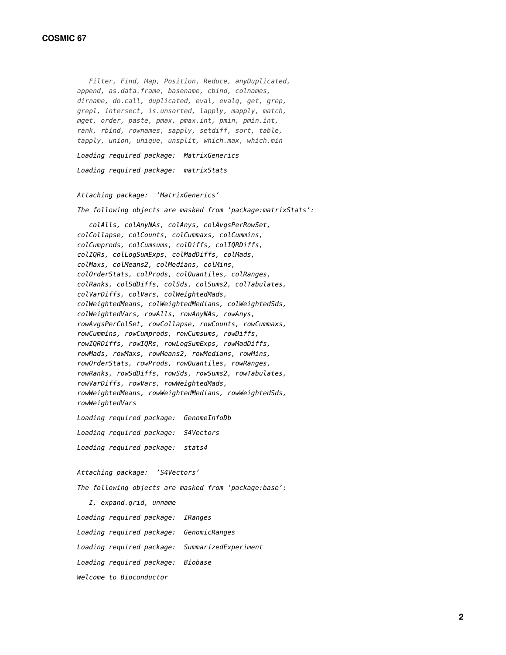Filter, Find, Map, Position, Reduce, anyDuplicated, append, as.data.frame, basename, cbind, colnames, dirname, do.call, duplicated, eval, evalq, get, grep, grepl, intersect, is.unsorted, lapply, mapply, match, mget, order, paste, pmax, pmax.int, pmin, pmin.int, rank, rbind, rownames, sapply, setdiff, sort, table, tapply, union, unique, unsplit, which.max, which.min

Loading required package: MatrixGenerics Loading required package: matrixStats

Attaching package: 'MatrixGenerics'

The following objects are masked from 'package:matrixStats':

colAlls, colAnyNAs, colAnys, colAvgsPerRowSet, colCollapse, colCounts, colCummaxs, colCummins, colCumprods, colCumsums, colDiffs, colIQRDiffs, colIQRs, colLogSumExps, colMadDiffs, colMads, colMaxs, colMeans2, colMedians, colMins, colOrderStats, colProds, colQuantiles, colRanges, colRanks, colSdDiffs, colSds, colSums2, colTabulates, colVarDiffs, colVars, colWeightedMads, colWeightedMeans, colWeightedMedians, colWeightedSds, colWeightedVars, rowAlls, rowAnyNAs, rowAnys, rowAvgsPerColSet, rowCollapse, rowCounts, rowCummaxs, rowCummins, rowCumprods, rowCumsums, rowDiffs, rowIQRDiffs, rowIQRs, rowLogSumExps, rowMadDiffs, rowMads, rowMaxs, rowMeans2, rowMedians, rowMins, rowOrderStats, rowProds, rowQuantiles, rowRanges, rowRanks, rowSdDiffs, rowSds, rowSums2, rowTabulates, rowVarDiffs, rowVars, rowWeightedMads, rowWeightedMeans, rowWeightedMedians, rowWeightedSds, rowWeightedVars

Loading required package: GenomeInfoDb Loading required package: S4Vectors Loading required package: stats4

Attaching package: 'S4Vectors'

The following objects are masked from 'package:base':

I, expand.grid, unname Loading required package: IRanges Loading required package: GenomicRanges Loading required package: SummarizedExperiment Loading required package: Biobase Welcome to Bioconductor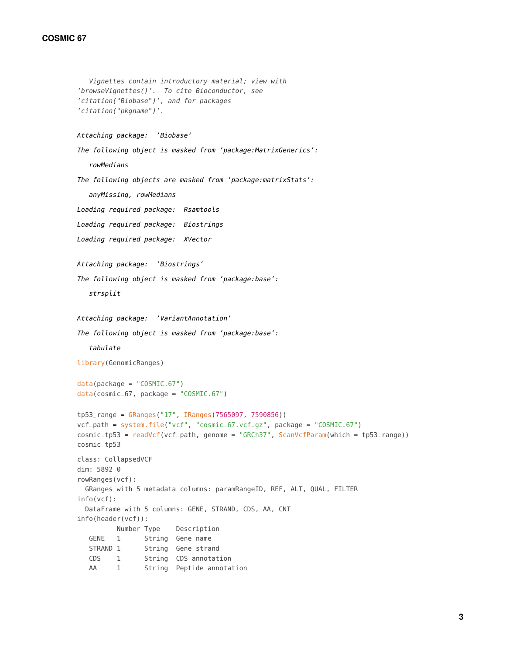#### **COSMIC 67**

```
Vignettes contain introductory material; view with
'browseVignettes()'. To cite Bioconductor, see
'citation("Biobase")', and for packages
'citation("pkgname")'.
Attaching package: 'Biobase'
The following object is masked from 'package:MatrixGenerics':
   rowMedians
The following objects are masked from 'package:matrixStats':
   anyMissing, rowMedians
Loading required package: Rsamtools
Loading required package: Biostrings
Loading required package: XVector
Attaching package: 'Biostrings'
The following object is masked from 'package:base':
   strsplit
Attaching package: 'VariantAnnotation'
The following object is masked from 'package:base':
   tabulate
library(GenomicRanges)
data(package = "COSMIC.67")data(cosmic_67, package = "COSMIC.67")
tp53_range = GRanges("17", IRanges(7565097, 7590856))
vcf_path = system.file("vcf", "cosmic_67.vcf.gz", package = "COSMIC.67")
cosmic_tp53 = readVcf(vcf_path, genome = "GRCh37", ScanVcfParam(which = tp53_range))
cosmic_tp53
class: CollapsedVCF
dim: 5892 0
rowRanges(vcf):
 GRanges with 5 metadata columns: paramRangeID, REF, ALT, QUAL, FILTER
info(vcf):
 DataFrame with 5 columns: GENE, STRAND, CDS, AA, CNT
info(header(vcf)):
         Number Type Description
   GENE 1 String Gene name
   STRAND 1 String Gene strand
   CDS 1 String CDS annotation
   AA 1 String Peptide annotation
```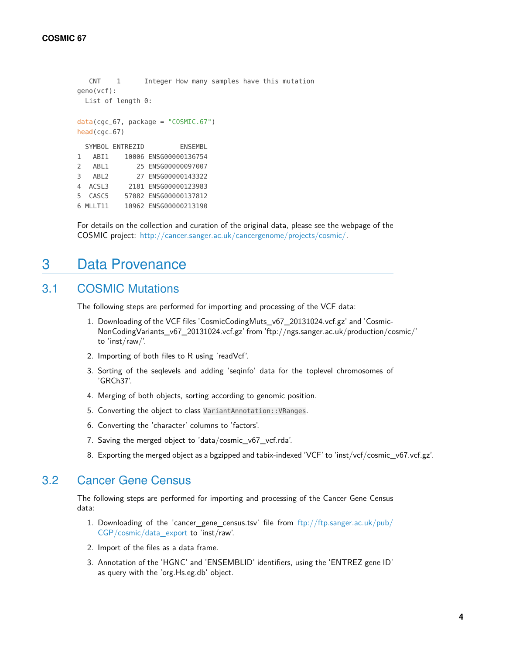```
CNT 1 Integer How many samples have this mutation
geno(vcf):
 List of length 0:
data(cgc_67, package = "COSMIC.67")
head(cgc_67)
 SYMBOL ENTREZID ENSEMBL
1 ABI1 10006 ENSG00000136754
2 ABL1 25 ENSG00000097007
3 ABL2 27 ENSG00000143322
4 ACSL3 2181 ENSG00000123983
5 CASC5 57082 ENSG00000137812
6 MLLT11 10962 ENSG00000213190
```
<span id="page-3-0"></span>For details on the collection and curation of the original data, please see the webpage of the COSMIC project: [http://cancer.sanger.ac.uk/cancergenome/projects/cosmic/.](http://cancer.sanger.ac.uk/cancergenome/projects/cosmic/)

# 3 Data Provenance

#### 3.1 COSMIC Mutations

<span id="page-3-1"></span>The following steps are performed for importing and processing of the VCF data:

- 1. Downloading of the VCF files 'CosmicCodingMuts\_v67\_20131024.vcf.gz' and 'Cosmic-NonCodingVariants\_v67\_20131024.vcf.gz' from 'ftp://ngs.sanger.ac.uk/production/cosmic/' to 'inst/raw/'.
- 2. Importing of both files to R using 'readVcf'.
- 3. Sorting of the seqlevels and adding 'seqinfo' data for the toplevel chromosomes of 'GRCh37'.
- 4. Merging of both objects, sorting according to genomic position.
- 5. Converting the object to class VariantAnnotation::VRanges.
- 6. Converting the 'character' columns to 'factors'.
- 7. Saving the merged object to 'data/cosmic\_v67\_vcf.rda'.
- <span id="page-3-2"></span>8. Exporting the merged object as a bgzipped and tabix-indexed 'VCF' to 'inst/vcf/cosmic\_v67.vcf.gz'.

#### 3.2 Cancer Gene Census

The following steps are performed for importing and processing of the Cancer Gene Census data:

- 1. Downloading of the 'cancer\_gene\_census.tsv' file from [ftp://ftp.sanger.ac.uk/pub/](ftp://ftp.sanger.ac.uk/pub/CGP/cosmic/data_export) [CGP/cosmic/data\\_export](ftp://ftp.sanger.ac.uk/pub/CGP/cosmic/data_export) to 'inst/raw'.
- 2. Import of the files as a data frame.
- 3. Annotation of the 'HGNC' and 'ENSEMBLID' identifiers, using the 'ENTREZ gene ID' as query with the 'org.Hs.eg.db' object.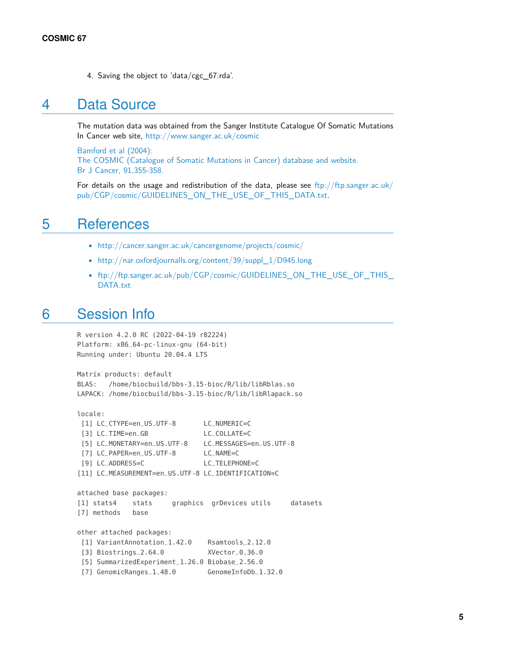<span id="page-4-0"></span>4. Saving the object to 'data/cgc\_67.rda'.

### 4 Data Source

The mutation data was obtained from the Sanger Institute Catalogue Of Somatic Mutations In Cancer web site, <http://www.sanger.ac.uk/cosmic>

[Bamford et al \(2004\):](http://www.ncbi.nlm.nih.gov/pmc/articles/PMC2409828/) [The COSMIC \(Catalogue of Somatic Mutations in Cancer\) database and website.](http://www.ncbi.nlm.nih.gov/pmc/articles/PMC2409828/) [Br J Cancer, 91,355-358.](http://www.ncbi.nlm.nih.gov/pmc/articles/PMC2409828/)

<span id="page-4-1"></span>For details on the usage and redistribution of the data, please see [ftp://ftp.sanger.ac.uk/](ftp://ftp.sanger.ac.uk/pub/CGP/cosmic/GUIDELINES_ON_THE_USE_OF_THIS_DATA.txt) [pub/CGP/cosmic/GUIDELINES\\_ON\\_THE\\_USE\\_OF\\_THIS\\_DATA.txt.](ftp://ftp.sanger.ac.uk/pub/CGP/cosmic/GUIDELINES_ON_THE_USE_OF_THIS_DATA.txt)

### 5 References

- <http://cancer.sanger.ac.uk/cancergenome/projects/cosmic/>
- [http://nar.oxfordjournalls.org/content/39/suppl\\_1/D945.long](http://nar.oxfordjournalls.org/content/39/suppl_1/D945.long)
- <span id="page-4-2"></span>• [ftp://ftp.sanger.ac.uk/pub/CGP/cosmic/GUIDELINES\\_ON\\_THE\\_USE\\_OF\\_THIS\\_](ftp://ftp.sanger.ac.uk/pub/CGP/cosmic/GUIDELINES_ON_THE_USE_OF_THIS_DATA.txt) [DATA.txt](ftp://ftp.sanger.ac.uk/pub/CGP/cosmic/GUIDELINES_ON_THE_USE_OF_THIS_DATA.txt)

## 6 Session Info

```
R version 4.2.0 RC (2022-04-19 r82224)
Platform: x86_64-pc-linux-gnu (64-bit)
Running under: Ubuntu 20.04.4 LTS
Matrix products: default
BLAS: /home/biocbuild/bbs-3.15-bioc/R/lib/libRblas.so
```
LAPACK: /home/biocbuild/bbs-3.15-bioc/R/lib/libRlapack.so

```
locale:
[1] LC_CTYPE=en_US.UTF-8 LC_NUMERIC=C
[3] LC_TIME=en_GB LC_COLLATE=C
[5] LC_MONETARY=en_US.UTF-8 LC_MESSAGES=en_US.UTF-8
[7] LC_PAPER=en_US.UTF-8 LC_NAME=C
[9] LC_ADDRESS=C LC_TELEPHONE=C
[11] LC_MEASUREMENT=en_US.UTF-8 LC_IDENTIFICATION=C
attached base packages:
[1] stats4 stats graphics grDevices utils datasets
[7] methods base
other attached packages:
[1] VariantAnnotation_1.42.0 Rsamtools_2.12.0
[3] Biostrings_2.64.0 XVector_0.36.0
[5] SummarizedExperiment_1.26.0 Biobase_2.56.0
[7] GenomicRanges_1.48.0 GenomeInfoDb_1.32.0
```